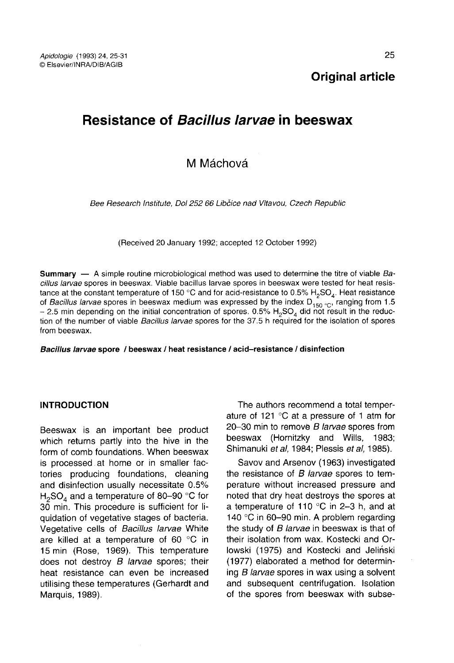# Resistance of Bacillus larvae in beeswax

# M Máchová

Bee Research Institute, Dol 252 66 Libčice nad Vltavou, Czech Republic

(Received 20 January 1992; accepted 12 October 1992)

**Summary** — A simple routine microbiological method was used to determine the titre of viable  $Ba$ cillus larvae spores in beeswax. Viable bacillus larvae spores in beeswax were tested for heat resistance at the constant temperature of 150 °C and for acid-resistance to 0.5% H<sub>2</sub>SO<sub>4</sub>. Heat resistance of *Bacillus larvae* spores in beeswax medium was expressed by the index D<sub>150 °C</sub>, ranging from 1.5 – 2.5 min dependi tance at the constant temperature of 150 °C and for acid-resistance to 0.5%  $H_2SO_4$ . Heat resistance of *Bacillus larvae* spores in beeswax medium was expressed by the index  $D_{150}$  °<sub>C</sub>, ranging from 1.5 – 2.5 min depe tion of the number of viable Bacillus larvae spores for the 37.5 h required for the isolation of spores from beeswax.

Bacillus larvae spore / beeswax / heat resistance / acid-resistance / disinfection

#### INTRODUCTION

Beeswax is an important bee product which returns partly into the hive in the form of comb foundations. When beeswax is processed at home or in smaller factories producing foundations, cleaning and disinfection usually necessitate 0.5% tories producing foundations, cleaning<br>and disinfection usually necessitate 0.5%<br> $H_2$ SO<sub>4</sub> and a temperature of 80-90 °C for<br>30 min. This procedure is sufficient for li-30 min. This procedure is sufficient for liquidation of vegetative stages of bacteria. Vegetative cells of Bacillus larvae White are killed at a temperature of 60 °C in 15 min (Rose, 1969). This temperature does not destroy  $B$  larvae spores; their heat resistance can even be increased utilising these temperatures (Gerhardt and Marquis, 1989).

The authors recommend a total temper ature of 121 °C at a pressure of 1 atm for 20-30 min to remove B larvae spores from beeswax (Hornitzky and Wills, 1983; Shimanuki et al. 1984; Plessis et al. 1985).

Savov and Arsenov (1963) investigated the resistance of  $B$  larvae spores to temperature without increased pressure and noted that dry heat destroys the spores at a temperature of 110 °C in 2-3 h, and at 140 °C in 60-90 min. A problem regarding the study of B larvae in beeswax is that of their isolation from wax. Kostecki and Orlowski (1975) and Kostecki and Jeliński (1977) elaborated a method for determining B larvae spores in wax using a solvent and subsequent centrifugation. Isolation of the spores from beeswax with subse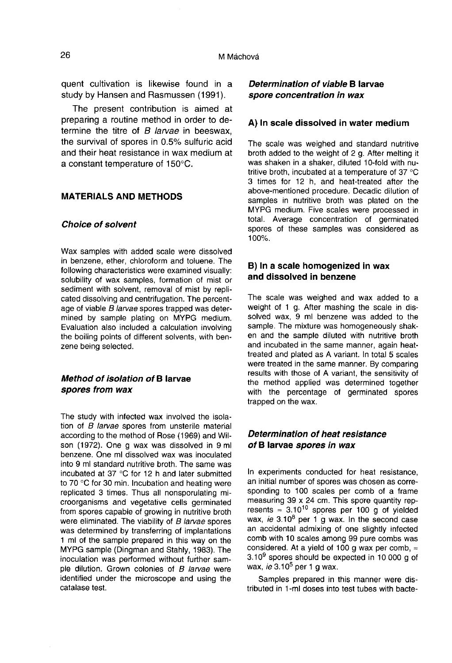quent cultivation is likewise found in a study by Hansen and Rasmussen (1991).

The present contribution is aimed at preparing a routine method in order to determine the titre of  $B$  larvae in beeswax. the survival of spores in 0.5% sulfuric acid and their heat resistance in wax medium at a constant temperature of 150°C.

#### MATERIALS AND METHODS

## Choice of solvent

Wax samples with added scale were dissolved in benzene, ether, chloroform and toluene. The following characteristics were examined visually: solubility of wax samples, formation of mist or sediment with solvent, removal of mist by replicated dissolving and centrifugation. The percentage of viable B larvae spores trapped was determined by sample plating on MYPG medium. Evaluation also included a calculation involving the boiling points of different solvents, with benzene being selected.

#### Method of isolation of B larvae spores from wax

The study with infected wax involved the isolation of B larvae spores from unsterile material according to the method of Rose (1969) and Wilson (1972). One g wax was dissolved in 9 ml benzene. One ml dissolved wax was inoculated into 9 ml standard nutritive broth. The same was incubated at 37 °C for 12 h and later submitted to 70 °C for 30 min. Incubation and heating were replicated 3 times. Thus all nonsporulating microorganisms and vegetative cells germinated from spores capable of growing in nutritive broth were eliminated. The viability of B larvae spores was determined by transferring of implantations 1 ml of the sample prepared in this way on the MYPG sample (Dingman and Stahly, 1983). The inoculation was performed without further sample dilution. Grown colonies of B larvae were identified under the microscope and using the catalase test.

#### Determination of viable B larvae spore concentration in wax

#### A) In scale dissolved in water medium

The scale was weighed and standard nutritive broth added to the weight of 2 g. After melting it was shaken in a shaker, diluted 10-fold with nutritive broth, incubated at a temperature of 37 °C 3 times for 12 h, and heat-treated after the above-mentioned procedure. Decadic dilution of samples in nutritive broth was plated on the MYPG medium. Five scales were processed in total. Average concentration of germinated spores of these samples was considered as 100%.

#### B) In a scale homogenized in wax and dissolved in benzene

The scale was weighed and wax added to a weight of 1 g. After mashing the scale in dissolved wax. 9 ml benzene was added to the sample. The mixture was homogeneously shaken and the sample diluted with nutritive broth and incubated in the same manner, again heattreated and plated as A variant. In total 5 scales were treated in the same manner. By comparing results with those of A variant, the sensitivity of the method applied was determined together with the percentage of germinated spores trapped on the wax.

# Determination of heat resistance of B larvae spores in wax

In experiments conducted for heat resistance, an initial number of spores was chosen as corresponding to 100 scales per comb of a frame measuring 39 x 24 cm. This spore quantity rep resents ≈ 3.10<sup>10</sup> spores per 100 g of yielded wax, ie 3.10<sup>8</sup> per 1 g wax. In the second case an accidental admixing of one slightly infected comb with 10 scales among 99 pure combs was considered. At a yield of 100 g wax per comb,  $\approx$ comb with 10 scales among 99 pure combs was<br>considered. At a yield of 100 g wax per comb, ≈<br>3.109 spores should be expected in 10 000 g of  $3.10^9$  spores should be expected in 10 000 g of wax, *ie*  $3.10^5$  per 1 g wax.

Samples prepared in this manner were distributed in 1-ml doses into test tubes with bacte-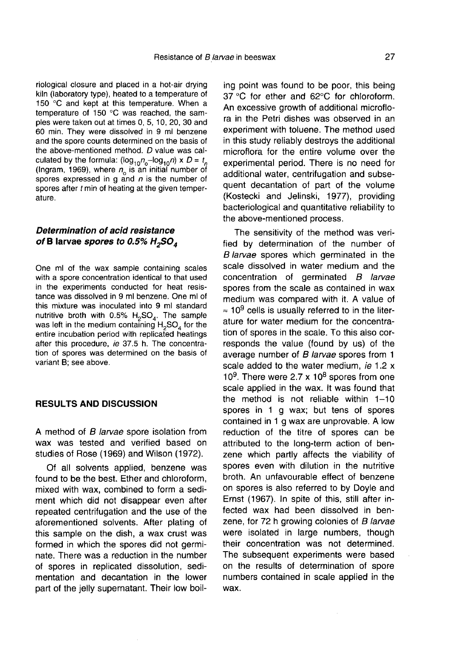riological closure and placed in a hot-air drying kiln (laboratory type), heated to a temperature of 150 °C and kept at this temperature. When a temperature of 150 °C was reached, the samples were taken out at times 0, 5, 10, 20, 30 and 60 min. They were dissolved in 9 ml benzene and the spore counts determined on the basis of the above-mentioned method. D value was calkiln (laboratory type), heated to a temperature of 150 °C and kept at this temperature. When a temperature of 150 °C was reached, the sam-<br>ples were taken out at times 0, 5, 10, 20, 30 and 60 min. They were dissolved in 9 spores expressed in  $q$  and  $n$  is the number of spores after t min of heating at the given temperature.

#### Determination of acid resistance of B larvae spores to  $0.5\%$  H<sub>2</sub>SO<sub>4</sub>

One ml of the wax sample containing scales with a spore concentration identical to that used in the experiments conducted for heat resistance was dissolved in 9 ml benzene. One ml of this mixture was inoculated into 9 ml standard nutritive broth with 0.5%  $H_2$ SO<sub>4</sub>. The sample was left in the medium containing  $H_2$ SO<sub>4</sub> for the entire incubation period with replicated heatings after this procedure, ie 37.5 h. The concentration of spores was determined on the basis of variant B; see above.

#### RESULTS AND DISCUSSION

A method of B larvae spore isolation from wax was tested and verified based on studies of Rose (1969) and Wilson (1972).

Of all solvents applied, benzene was found to be the best. Ether and chloroform, mixed with wax, combined to form a sediment which did not disappear even after repeated centrifugation and the use of the aforementioned solvents. After plating of this sample on the dish, a wax crust was formed in which the spores did not germi nate. There was a reduction in the number of spores in replicated dissolution, sedimentation and decantation in the lower part of the jelly supernatant. Their low boil-

ing point was found to be poor, this being 37 °C for ether and 62°C for chloroform. An excessive growth of additional microflora in the Petri dishes was observed in an experiment with toluene. The method used in this study reliably destroys the additional microflora for the entire volume over the experimental period. There is no need for additional water, centrifugation and subsequent decantation of part of the volume (Kostecki and Jelinski, 1977), providing bacteriological and quantitative reliability to the above-mentioned process.

The sensitivity of the method was verified by determination of the number of B larvae spores which germinated in the scale dissolved in water medium and the concentration of germinated B larvae spores from the scale as contained in wax medium was compared with it. A value of  $\approx 10^9$  cells is usually referred to in the literature for water medium for the concentration of spores in the scale. To this also corresponds the value (found by us) of the average number of B larvae spores from 1 scale added to the water medium, ie 1.2 x  $10<sup>9</sup>$ . There were 2.7 x  $10<sup>8</sup>$  spores from one scale applied in the wax. It was found that the method is not reliable within 1-10 spores in 1 g wax; but tens of spores contained in 1 g wax are unprovable. A low reduction of the titre of spores can be attributed to the long-term action of benzene which partly affects the viability of spores even with dilution in the nutritive broth. An unfavourable effect of benzene on spores is also referred to by Doyle and Ernst (1967). In spite of this, still after infected wax had been dissolved in benzene, for 72 h growing colonies of B larvae were isolated in large numbers, though their concentration was not determined. The subsequent experiments were based on the results of determination of spore numbers contained in scale applied in the wax.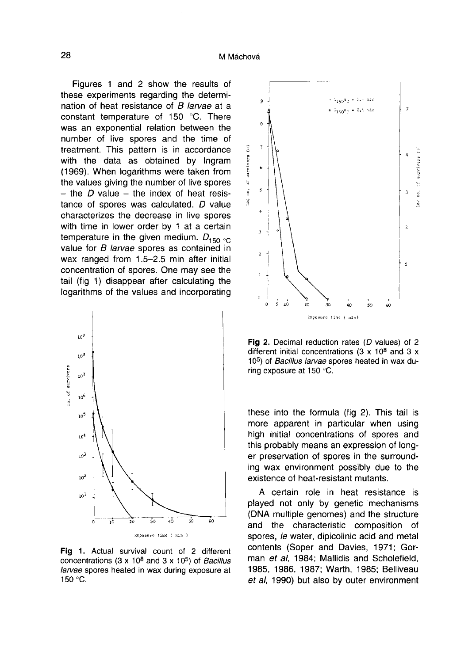Figures 1 and 2 show the results of these experiments regarding the determination of heat resistance of B larvae at a constant temperature of 150 °C. There was an exponential relation between the number of live spores and the time of treatment. This pattern is in accordance with the data as obtained by Ingram (1969). When logarithms were taken from - the D value – the index of heat resistance of spores was calculated. D value characterizes the decrease in live spores with time in lower order by 1 at a certain temperature in the given medium.  $D_{150}$  or value for B larvae spores as contained in wax ranged from 1.5-2.5 min after initial concentration of spores. One may see the tail (fig 1) disappear after calculating the logarithms of the values and incorporating



Fig 1. Actual survival count of 2 different concentrations (3 x 10<sup>8</sup> and 3 x 10<sup>5</sup>) of *Bacillus* larvae spores heated in wax during exposure at 150 °C.



Fig 2. Decimal reduction rates  $(D \text{ values})$  of 2 different initial concentrations (3 x  $10^8$  and 3 x 10<sup>5</sup>) of Bacillus larvae spores heated in wax during exposure at 150 °C.

these into the formula (fig 2). This tail is more apparent in particular when using high initial concentrations of spores and this probably means an expression of long er preservation of spores in the surrounding wax environment possibly due to the existence of heat-resistant mutants.

A certain role in heat resistance is played not only by genetic mechanisms (DNA multiple genomes) and the structure and the characteristic composition of spores, ie water, dipicolinic acid and metal contents (Soper and Davies, 1971; Gorman et al, 1984; Mallidis and Scholefield, 1985, 1986, 1987; Warth, 1985; Belliveau et al, 1990) but also by outer environment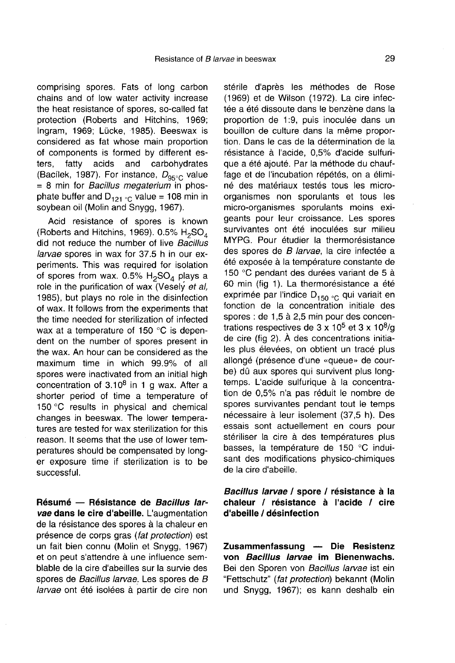comprising spores. Fats of long carbon chains and of low water activity increase the heat resistance of spores, so-called fat protection (Roberts and Hitchins, 1969; Ingram, 1969; Lücke, 1985). Beeswax is considered as fat whose main proportion of components is formed by different es-<br>ters. fatty acids and carbohydrates ters, fatty acids and carbohydrates (Bacílek, 1987). For instance,  $D_{95\degree}$  value = 8 min for *Bacillus megaterium* in phos-<br>phate buffer and D<sub>121 °C</sub> value = 108 min in soybean oil (Molin and Snygg, 1967).

Acid resistance of spores is known did not reduce the number of live *Bacillus* (Roberts and Hitchins, 1969). 0.5% .<br>known<br>H<sub>2</sub>SO<sub>4</sub><br>Bacillus larvae spores in wax for 37.5 h in our experiments. This was required for isolation of spores from wax.  $0.5\%$  H<sub>2</sub>SO<sub>4</sub> plays a role in the purification of wax (Vesely et al, 1985), but plays no role in the disinfection of wax. It follows from the experiments that the time needed for sterilization of infected wax at a temperature of 150 °C is dependent on the number of spores present in the wax. An hour can be considered as the maximum time in which 99.9% of all spores were inactivated from an initial high concentration of  $3.10<sup>8</sup>$  in 1 g wax. After a shorter period of time a temperature of 150 °C results in physical and chemical changes in beeswax. The lower tempera tures are tested for wax sterilization for this reason. It seems that the use of lower temperatures should be compensated by long er exposure time if sterilization is to be successful.

Résumé - Résistance de Bacillus larvae dans le cire d'abeille. L'augmentation de la résistance des spores à la chaleur en présence de corps gras (fat protection) est un fait bien connu (Molin et Snygg, 1967) et on peut s'attendre à une influence semblable de la cire d'abeilles sur la survie des spores de Bacillus larvae. Les spores de B larvae ont été isolées à partir de cire non

stérile d'après les méthodes de Rose (1969) et de Wilson (1972). La cire infectée a été dissoute dans le benzène dans la proportion de 1:9, puis inoculée dans un bouillon de culture dans la même proportion. Dans le cas de la détermination de la résistance à l'acide, 0,5% d'acide sulfurique a été ajouté. Par la méthode du chauffage et de l'incubation répétés, on a éliminé des matériaux testés tous les microorganismes non sporulants et tous les micro-organismes sporulants moins exigeants pour leur croissance. Les spores survivantes ont été inoculées sur milieu MYPG. Pour étudier la thermorésistance des spores de B larvae, la cire infectée a été exposée à la température constante de 150 °C pendant des durées variant de 5 à 60 min (fig 1). La thermorésistance a été exprimée par l'indice  $D_{150}$   $_{\rm C}$  qui variait en fonction de la concentration initiale des spores : de 1,5 à 2,5 min pour des concentrations respectives de  $3 \times 10^5$  et  $3 \times 10^8$ /g de cire (fig 2). À des concentrations initiales plus élevées, on obtient un tracé plus allongé (présence d'une «queue» de courbe) dû aux spores qui survivent plus longtemps. L'acide sulfurique à la concentration de 0,5% n'a pas réduit le nombre de spores survivantes pendant tout le temps nécessaire à leur isolement (37,5 h). Des essais sont actuellement en cours pour stériliser la cire à des températures plus basses, la température de 150 °C induisant des modifications physico-chimiques de la cire d'abeille.

#### Bacillus larvae / spore / résistance à la chaleur / résistance à l'acide / cire d'abeille / désinfection

Zusammenfassung — Die Resistenz von Bacillus larvae im Bienenwachs. Bei den Sporen von Bacillus larvae ist ein "Fettschutz" (fat protection) bekannt (Molin und Snygg, 1967); es kann deshalb ein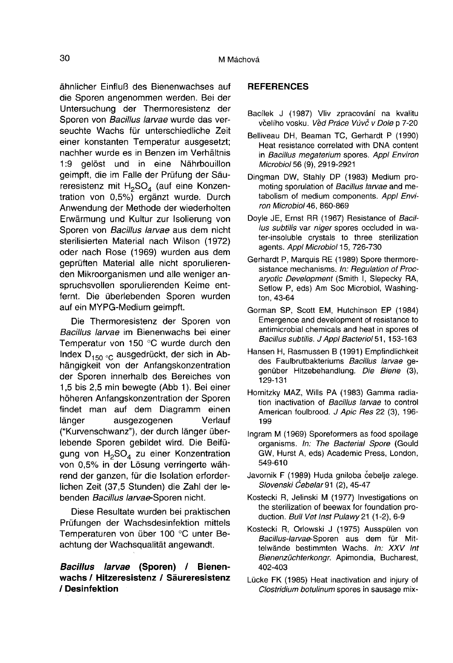ähnlicher Einfluß des Bienenwachses auf die Sporen angenommen werden. Bei der Untersuchung der Thermoresistenz der Sporen von Bacillus larvae wurde das verseuchte Wachs für unterschiedliche Zeit einer konstanten Temperatur ausgesetzt; nachher wurde es in Benzen im Verhältnis 1:9 gelöst und in eine Nährbouillon geimpft, die im Falle der Prüfung der Säureresistenz mit H<sub>2</sub>SO<sub>4</sub> (auf eine Konzentration von 0,5%) ergänzt wurde. Durch Anwendung der Methode der wiederholten Erwärmung und Kultur zur Isolierung von Sporen von Bacillus larvae aus dem nicht sterilisierten Material nach Wilson (1972) oder nach Rose (1969) wurden aus dem geprüften Material alle nicht sporulierenden Mikroorganismen und alle weniger anspruchsvollen sporulierenden Keime entfernt. Die überlebenden Sporen wurden auf ein MYPG-Medium geimpft.

Die Thermoresistenz der Sporen von Bacillus larvae im Bienenwachs bei einer Temperatur von 150 °C wurde durch den Index  $D_{150}$  <sub>°C</sub> ausgedrückt, der sich in Abhängigkeit von der Anfangskonzentration der Sporen innerhalb des Bereiches von 1,5 bis 2,5 min bewegte (Abb 1). Bei einer höheren Anfangskonzentration der Sporen findet man auf dem Diagramm einen länger ausgezogenen Verlauf ("Kurvenschwanz"), der durch länger überlebende Sporen gebildet wird. Die Beifügung von  $H_2SO_4$  zu einer Konzentration von 0,5% in der Lösung verringerte während der ganzen, für die Isolation erforderlichen Zeit (37,5 Stunden) die Zahl der lebenden Bacillus larvae-Sporen nicht.

Diese Resultate wurden bei praktischen Prüfungen der Wachsdesinfektion mittels Temperaturen von über 100 °C unter Beachtung der Wachsqualität angewandt.

## Bacillus larvae (Sporen) / Bienenwachs / Hitzeresistenz / Säureresistenz / Desinfektion

#### **REFERENCES**

- Bacílek J (1987) Vliv zpracování na kvalitu včelího vosku. Věd Práce Vúvč v Dole p 7-20
- Belliveau DH, Beaman TC, Gerhardt P (1990) Heat resistance correlated with DNA content in Bacillus megaterium spores. Appl Environ Microbiol 56 (9), 2919-2921
- Dingman DW, Stahly DP (1983) Medium promoting sporulation of Bacillus larvae and metabolism of medium components. Appl Environ Microbiol 46, 860-869
- Doyle JE, Ernst RR (1967) Resistance of Bacillus subtilis var niger spores occluded in water-insoluble crystals to three sterilization agents. Appl Microbiol 15, 726-730
- Gerhardt P, Marquis RE (1989) Spore thermoresistance mechanisms. In: Regulation of Procaryotic Development (Smith I, Slepecky RA, Setlow P, eds) Am Soc Microbiol, Washington, 43-64
- Gorman SP, Scott EM, Hutchinson EP (1984) Emergence and development of resistance to antimicrobial chemicals and heat in spores of Bacillus subtilis. J Appl Bacteriol 51, 153-163
- Hansen H, Rasmussen B (1991) Empfindlichkeit des Faulbrutbakteriums Bacillus larvae gegenüber Hitzebehandlung. Die Biene (3), 129-131
- Hornitzky MAZ, Wills PA (1983) Gamma radiation inactivation of Bacillus larvae to control American foulbrood. J Apic Res 22 (3), 196-199
- Ingram M (1969) Sporeformers as food spoilage organisms. In: The Bacterial Spore (Gould GW, Hurst A, eds) Academic Press, London, 549-610
- Javornik F (1989) Huda gniloba čebelje zalege. Slovenski Čebelar 91 (2), 45-47
- Kostecki R, Jelinski M (1977) Investigations on the sterilization of beewax for foundation production. Bull Vet Inst Pulawy 21 (1-2), 6-9
- Kostecki R, Orlowski J (1975) Ausspülen von Bacillus-larvae-Sporen aus dem für Mittelwände bestimmten Wachs. In: XXV Int Bienenzüchterkongr. Apimondia, Bucharest, 402-403
- Lücke FK (1985) Heat inactivation and injury of Clostridium botulinum spores in sausage mix-